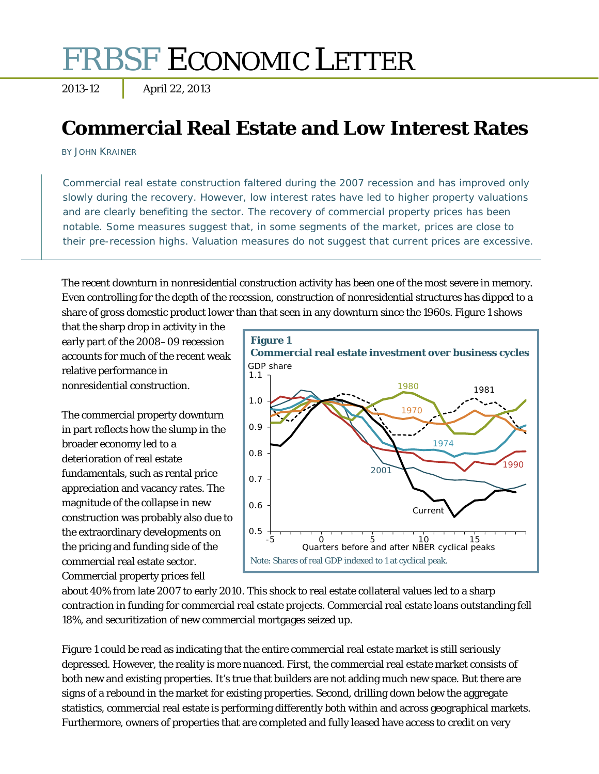# FRBSF ECONOMIC LETTER

2013-12 April 22, 2013

## **Commercial Real Estate and Low Interest Rates**

BY JOHN KRAINER

Commercial real estate construction faltered during the 2007 recession and has improved only slowly during the recovery. However, low interest rates have led to higher property valuations and are clearly benefiting the sector. The recovery of commercial property prices has been notable. Some measures suggest that, in some segments of the market, prices are close to their pre-recession highs. Valuation measures do not suggest that current prices are excessive.

The recent downturn in nonresidential construction activity has been one of the most severe in memory. Even controlling for the depth of the recession, construction of nonresidential structures has dipped to a share of gross domestic product lower than that seen in any downturn since the 1960s. Figure 1 shows

that the sharp drop in activity in the early part of the 2008–09 recession accounts for much of the recent weak relative performance in nonresidential construction.

The commercial property downturn in part reflects how the slump in the broader economy led to a deterioration of real estate fundamentals, such as rental price appreciation and vacancy rates. The magnitude of the collapse in new construction was probably also due to the extraordinary developments on the pricing and funding side of the commercial real estate sector. Commercial property prices fell



about 40% from late 2007 to early 2010. This shock to real estate collateral values led to a sharp contraction in funding for commercial real estate projects. Commercial real estate loans outstanding fell 18%, and securitization of new commercial mortgages seized up.

Figure 1 could be read as indicating that the entire commercial real estate market is still seriously depressed. However, the reality is more nuanced. First, the commercial real estate market consists of both new and existing properties. It's true that builders are not adding much new space. But there are signs of a rebound in the market for existing properties. Second, drilling down below the aggregate statistics, commercial real estate is performing differently both within and across geographical markets. Furthermore, owners of properties that are completed and fully leased have access to credit on very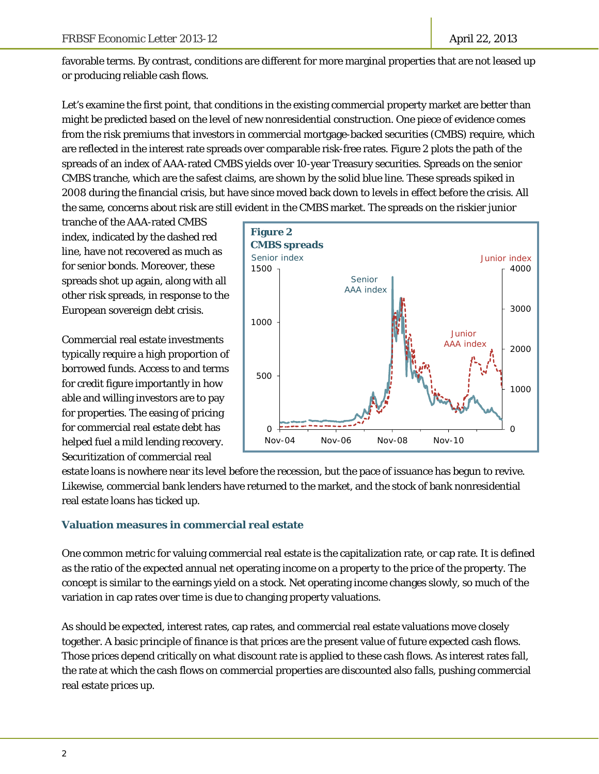favorable terms. By contrast, conditions are different for more marginal properties that are not leased up or producing reliable cash flows.

Let's examine the first point, that conditions in the existing commercial property market are better than might be predicted based on the level of new nonresidential construction. One piece of evidence comes from the risk premiums that investors in commercial mortgage-backed securities (CMBS) require, which are reflected in the interest rate spreads over comparable risk-free rates. Figure 2 plots the path of the spreads of an index of AAA-rated CMBS yields over 10-year Treasury securities. Spreads on the senior CMBS tranche, which are the safest claims, are shown by the solid blue line. These spreads spiked in 2008 during the financial crisis, but have since moved back down to levels in effect before the crisis. All the same, concerns about risk are still evident in the CMBS market. The spreads on the riskier junior

tranche of the AAA-rated CMBS index, indicated by the dashed red line, have not recovered as much as for senior bonds. Moreover, these spreads shot up again, along with all other risk spreads, in response to the European sovereign debt crisis.

Commercial real estate investments typically require a high proportion of borrowed funds. Access to and terms for credit figure importantly in how able and willing investors are to pay for properties. The easing of pricing for commercial real estate debt has helped fuel a mild lending recovery. Securitization of commercial real



estate loans is nowhere near its level before the recession, but the pace of issuance has begun to revive. Likewise, commercial bank lenders have returned to the market, and the stock of bank nonresidential real estate loans has ticked up.

### **Valuation measures in commercial real estate**

One common metric for valuing commercial real estate is the capitalization rate, or cap rate. It is defined as the ratio of the expected annual net operating income on a property to the price of the property. The concept is similar to the earnings yield on a stock. Net operating income changes slowly, so much of the variation in cap rates over time is due to changing property valuations.

As should be expected, interest rates, cap rates, and commercial real estate valuations move closely together. A basic principle of finance is that prices are the present value of future expected cash flows. Those prices depend critically on what discount rate is applied to these cash flows. As interest rates fall, the rate at which the cash flows on commercial properties are discounted also falls, pushing commercial real estate prices up.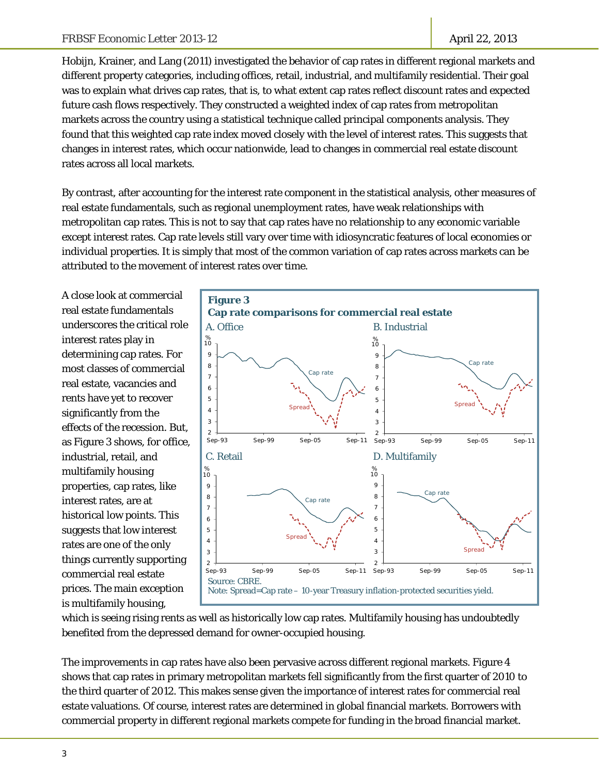Hobijn, Krainer, and Lang (2011) investigated the behavior of cap rates in different regional markets and different property categories, including offices, retail, industrial, and multifamily residential. Their goal was to explain what drives cap rates, that is, to what extent cap rates reflect discount rates and expected future cash flows respectively. They constructed a weighted index of cap rates from metropolitan markets across the country using a statistical technique called principal components analysis. They found that this weighted cap rate index moved closely with the level of interest rates. This suggests that changes in interest rates, which occur nationwide, lead to changes in commercial real estate discount rates across all local markets.

By contrast, after accounting for the interest rate component in the statistical analysis, other measures of real estate fundamentals, such as regional unemployment rates, have weak relationships with metropolitan cap rates. This is not to say that cap rates have no relationship to any economic variable except interest rates. Cap rate levels still vary over time with idiosyncratic features of local economies or individual properties. It is simply that most of the common variation of cap rates across markets can be attributed to the movement of interest rates over time.

A close look at commercial real estate fundamentals underscores the critical role interest rates play in determining cap rates. For most classes of commercial real estate, vacancies and rents have yet to recover significantly from the effects of the recession. But, as Figure 3 shows, for office, industrial, retail, and multifamily housing properties, cap rates, like interest rates, are at historical low points. This suggests that low interest rates are one of the only things currently supporting commercial real estate prices. The main exception is multifamily housing,



which is seeing rising rents as well as historically low cap rates. Multifamily housing has undoubtedly benefited from the depressed demand for owner-occupied housing.

The improvements in cap rates have also been pervasive across different regional markets. Figure 4 shows that cap rates in primary metropolitan markets fell significantly from the first quarter of 2010 to the third quarter of 2012. This makes sense given the importance of interest rates for commercial real estate valuations. Of course, interest rates are determined in global financial markets. Borrowers with commercial property in different regional markets compete for funding in the broad financial market.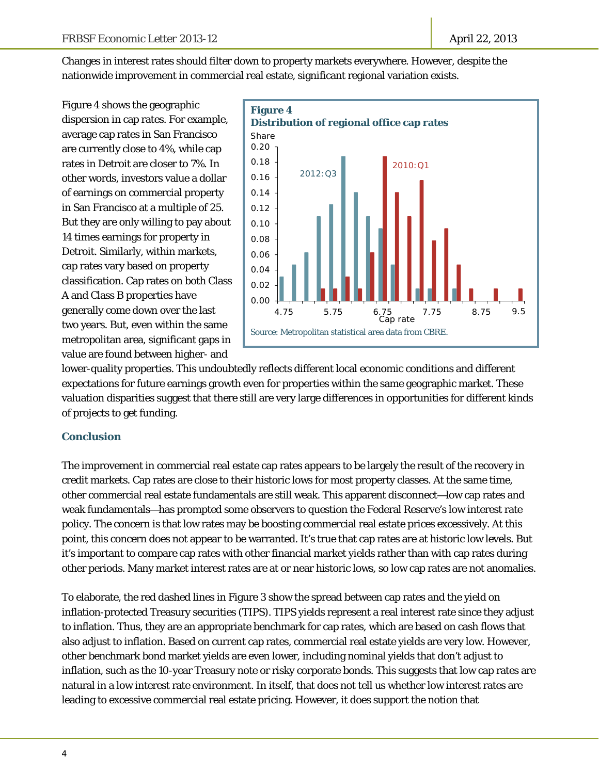Changes in interest rates should filter down to property markets everywhere. However, despite the nationwide improvement in commercial real estate, significant regional variation exists.

Figure 4 shows the geographic dispersion in cap rates. For example, average cap rates in San Francisco are currently close to 4%, while cap rates in Detroit are closer to 7%. In other words, investors value a dollar of earnings on commercial property in San Francisco at a multiple of 25. But they are only willing to pay about 14 times earnings for property in Detroit. Similarly, within markets, cap rates vary based on property classification. Cap rates on both Class A and Class B properties have generally come down over the last two years. But, even within the same metropolitan area, significant gaps in value are found between higher- and



lower-quality properties. This undoubtedly reflects different local economic conditions and different expectations for future earnings growth even for properties within the same geographic market. These valuation disparities suggest that there still are very large differences in opportunities for different kinds of projects to get funding.

### **Conclusion**

The improvement in commercial real estate cap rates appears to be largely the result of the recovery in credit markets. Cap rates are close to their historic lows for most property classes. At the same time, other commercial real estate fundamentals are still weak. This apparent disconnect—low cap rates and weak fundamentals—has prompted some observers to question the Federal Reserve's low interest rate policy. The concern is that low rates may be boosting commercial real estate prices excessively. At this point, this concern does not appear to be warranted. It's true that cap rates are at historic low levels. But it's important to compare cap rates with other financial market yields rather than with cap rates during other periods. Many market interest rates are at or near historic lows, so low cap rates are not anomalies.

To elaborate, the red dashed lines in Figure 3 show the spread between cap rates and the yield on inflation-protected Treasury securities (TIPS). TIPS yields represent a real interest rate since they adjust to inflation. Thus, they are an appropriate benchmark for cap rates, which are based on cash flows that also adjust to inflation. Based on current cap rates, commercial real estate yields are very low. However, other benchmark bond market yields are even lower, including nominal yields that don't adjust to inflation, such as the 10-year Treasury note or risky corporate bonds. This suggests that low cap rates are natural in a low interest rate environment. In itself, that does not tell us whether low interest rates are leading to excessive commercial real estate pricing. However, it does support the notion that